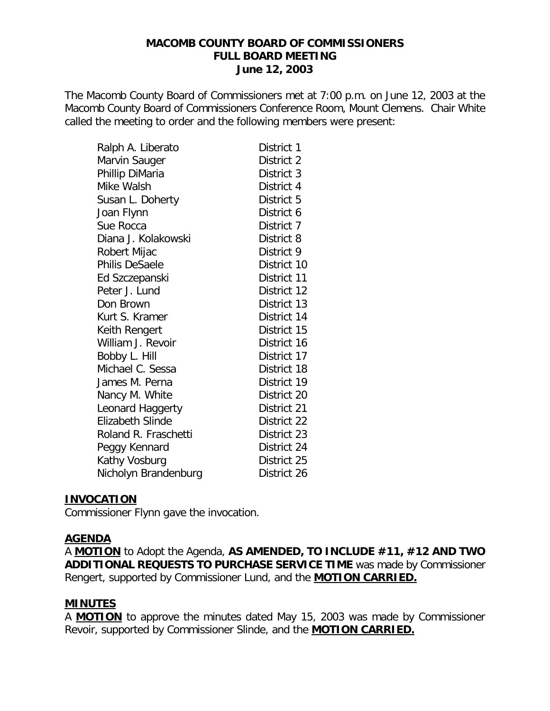The Macomb County Board of Commissioners met at 7:00 p.m. on June 12, 2003 at the Macomb County Board of Commissioners Conference Room, Mount Clemens. Chair White called the meeting to order and the following members were present:

| Ralph A. Liberato    | District 1  |
|----------------------|-------------|
| Marvin Sauger        | District 2  |
| Phillip DiMaria      | District 3  |
| Mike Walsh           | District 4  |
| Susan L. Doherty     | District 5  |
| Joan Flynn           | District 6  |
| Sue Rocca            | District 7  |
| Diana J. Kolakowski  | District 8  |
| Robert Mijac         | District 9  |
| Philis DeSaele       | District 10 |
| Ed Szczepanski       | District 11 |
| Peter J. Lund        | District 12 |
| Don Brown            | District 13 |
| Kurt S. Kramer       | District 14 |
| Keith Rengert        | District 15 |
| William J. Revoir    | District 16 |
| Bobby L. Hill        | District 17 |
| Michael C. Sessa     | District 18 |
| James M. Perna       | District 19 |
| Nancy M. White       | District 20 |
| Leonard Haggerty     | District 21 |
| Elizabeth Slinde     | District 22 |
| Roland R. Fraschetti | District 23 |
| Peggy Kennard        | District 24 |
| Kathy Vosburg        | District 25 |
| Nicholyn Brandenburg | District 26 |

#### **INVOCATION**

Commissioner Flynn gave the invocation.

#### **AGENDA**

A **MOTION** to Adopt the Agenda, **AS AMENDED, TO INCLUDE #11, #12 AND TWO ADDITIONAL REQUESTS TO PURCHASE SERVICE TIME** was made by Commissioner Rengert, supported by Commissioner Lund, and the **MOTION CARRIED.**

#### **MINUTES**

A **MOTION** to approve the minutes dated May 15, 2003 was made by Commissioner Revoir, supported by Commissioner Slinde, and the **MOTION CARRIED.**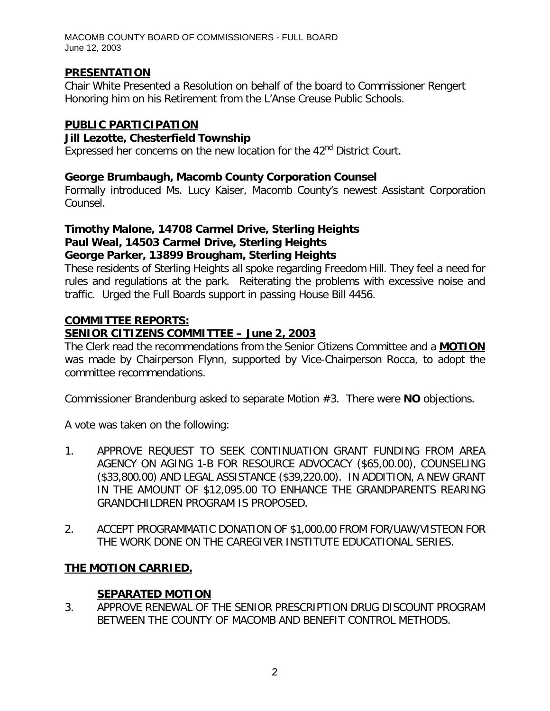### **PRESENTATION**

Chair White Presented a Resolution on behalf of the board to Commissioner Rengert Honoring him on his Retirement from the L'Anse Creuse Public Schools.

# **PUBLIC PARTICIPATION**

#### *Jill Lezotte, Chesterfield Township*

Expressed her concerns on the new location for the  $42<sup>nd</sup>$  District Court.

### *George Brumbaugh, Macomb County Corporation Counsel*

Formally introduced Ms. Lucy Kaiser, Macomb County's newest Assistant Corporation Counsel.

#### *Timothy Malone, 14708 Carmel Drive, Sterling Heights Paul Weal, 14503 Carmel Drive, Sterling Heights George Parker, 13899 Brougham, Sterling Heights*

These residents of Sterling Heights all spoke regarding Freedom Hill. They feel a need for rules and regulations at the park. Reiterating the problems with excessive noise and traffic. Urged the Full Boards support in passing House Bill 4456.

### **COMMITTEE REPORTS:**

# *SENIOR CITIZENS COMMITTEE – June 2, 2003*

The Clerk read the recommendations from the Senior Citizens Committee and a **MOTION** was made by Chairperson Flynn, supported by Vice-Chairperson Rocca, to adopt the committee recommendations.

Commissioner Brandenburg asked to separate Motion #3. There were **NO** objections.

A vote was taken on the following:

- 1. APPROVE REQUEST TO SEEK CONTINUATION GRANT FUNDING FROM AREA AGENCY ON AGING 1-B FOR RESOURCE ADVOCACY (\$65,00.00), COUNSELING (\$33,800.00) AND LEGAL ASSISTANCE (\$39,220.00). IN ADDITION, A NEW GRANT IN THE AMOUNT OF \$12,095.00 TO ENHANCE THE GRANDPARENTS REARING GRANDCHILDREN PROGRAM IS PROPOSED.
- 2. ACCEPT PROGRAMMATIC DONATION OF \$1,000.00 FROM FOR/UAW/VISTEON FOR THE WORK DONE ON THE CAREGIVER INSTITUTE EDUCATIONAL SERIES.

### **THE MOTION CARRIED.**

### **SEPARATED MOTION**

3. APPROVE RENEWAL OF THE SENIOR PRESCRIPTION DRUG DISCOUNT PROGRAM BETWEEN THE COUNTY OF MACOMB AND BENEFIT CONTROL METHODS.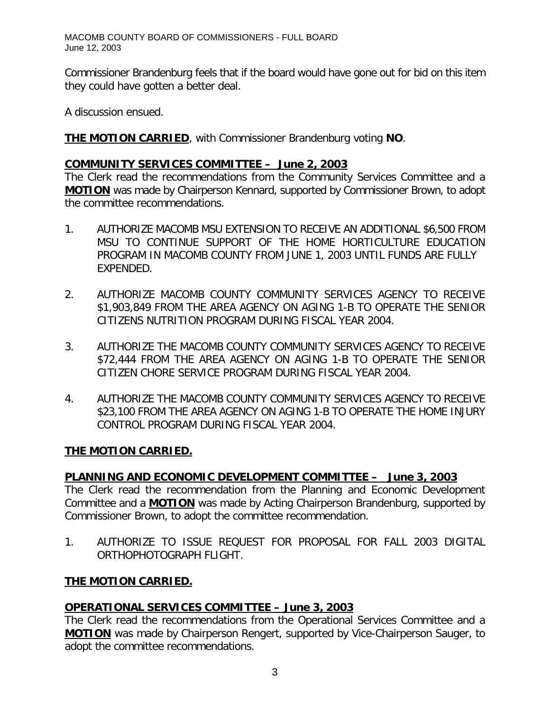Commissioner Brandenburg feels that if the board would have gone out for bid on this item they could have gotten a better deal.

A discussion ensued.

**THE MOTION CARRIED**, with Commissioner Brandenburg voting **NO**.

#### *COMMUNITY SERVICES COMMITTEE – June 2, 2003*

The Clerk read the recommendations from the Community Services Committee and a **MOTION** was made by Chairperson Kennard, supported by Commissioner Brown, to adopt the committee recommendations.

- 1. AUTHORIZE MACOMB MSU EXTENSION TO RECEIVE AN ADDITIONAL \$6,500 FROM MSU TO CONTINUE SUPPORT OF THE HOME HORTICULTURE EDUCATION PROGRAM IN MACOMB COUNTY FROM JUNE 1, 2003 UNTIL FUNDS ARE FULLY EXPENDED.
- 2. AUTHORIZE MACOMB COUNTY COMMUNITY SERVICES AGENCY TO RECEIVE \$1,903,849 FROM THE AREA AGENCY ON AGING 1-B TO OPERATE THE SENIOR CITIZENS NUTRITION PROGRAM DURING FISCAL YEAR 2004.
- 3. AUTHORIZE THE MACOMB COUNTY COMMUNITY SERVICES AGENCY TO RECEIVE \$72,444 FROM THE AREA AGENCY ON AGING 1-B TO OPERATE THE SENIOR CITIZEN CHORE SERVICE PROGRAM DURING FISCAL YEAR 2004.
- 4. AUTHORIZE THE MACOMB COUNTY COMMUNITY SERVICES AGENCY TO RECEIVE \$23,100 FROM THE AREA AGENCY ON AGING 1-B TO OPERATE THE HOME INJURY CONTROL PROGRAM DURING FISCAL YEAR 2004.

### **THE MOTION CARRIED.**

### *PLANNING AND ECONOMIC DEVELOPMENT COMMITTEE – June 3, 2003*

The Clerk read the recommendation from the Planning and Economic Development Committee and a **MOTION** was made by Acting Chairperson Brandenburg, supported by Commissioner Brown, to adopt the committee recommendation.

1. AUTHORIZE TO ISSUE REQUEST FOR PROPOSAL FOR FALL 2003 DIGITAL ORTHOPHOTOGRAPH FLIGHT.

### **THE MOTION CARRIED.**

### *OPERATIONAL SERVICES COMMITTEE – June 3, 2003*

The Clerk read the recommendations from the Operational Services Committee and a **MOTION** was made by Chairperson Rengert, supported by Vice-Chairperson Sauger, to adopt the committee recommendations.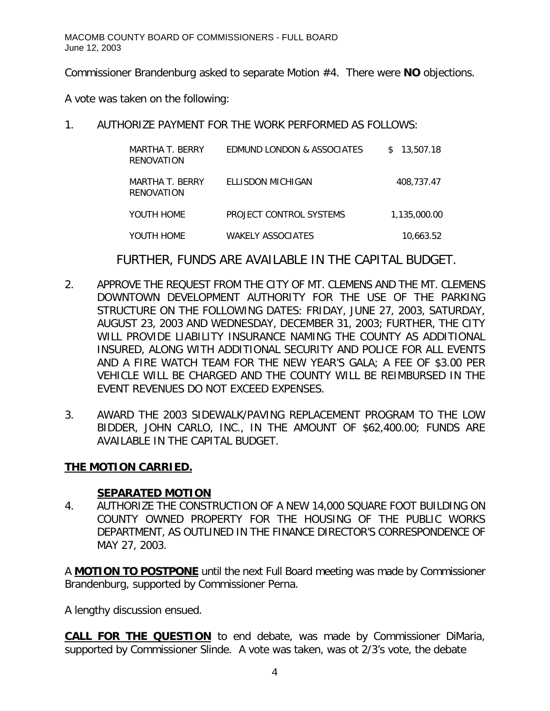Commissioner Brandenburg asked to separate Motion #4. There were **NO** objections.

A vote was taken on the following:

1. AUTHORIZE PAYMENT FOR THE WORK PERFORMED AS FOLLOWS:

| MARTHA T. BERRY<br>RENOVATION | EDMUND LONDON & ASSOCIATES | 13,507.18<br>S. |
|-------------------------------|----------------------------|-----------------|
| MARTHA T. BERRY<br>RENOVATION | ELLISDON MICHIGAN          | 408,737.47      |
| YOUTH HOME                    | PROJECT CONTROL SYSTEMS    | 1.135.000.00    |
| YOUTH HOME                    | WAKELY ASSOCIATES          | 10,663.52       |

FURTHER, FUNDS ARE AVAILABLE IN THE CAPITAL BUDGET.

- 2. APPROVE THE REQUEST FROM THE CITY OF MT. CLEMENS AND THE MT. CLEMENS DOWNTOWN DEVELOPMENT AUTHORITY FOR THE USE OF THE PARKING STRUCTURE ON THE FOLLOWING DATES: FRIDAY, JUNE 27, 2003, SATURDAY, AUGUST 23, 2003 AND WEDNESDAY, DECEMBER 31, 2003; FURTHER, THE CITY WILL PROVIDE LIABILITY INSURANCE NAMING THE COUNTY AS ADDITIONAL INSURED, ALONG WITH ADDITIONAL SECURITY AND POLICE FOR ALL EVENTS AND A FIRE WATCH TEAM FOR THE NEW YEAR'S GALA; A FEE OF \$3.00 PER VEHICLE WILL BE CHARGED AND THE COUNTY WILL BE REIMBURSED IN THE EVENT REVENUES DO NOT EXCEED EXPENSES.
- 3. AWARD THE 2003 SIDEWALK/PAVING REPLACEMENT PROGRAM TO THE LOW BIDDER, JOHN CARLO, INC., IN THE AMOUNT OF \$62,400.00; FUNDS ARE AVAILABLE IN THE CAPITAL BUDGET.

# **THE MOTION CARRIED.**

### **SEPARATED MOTION**

4. AUTHORIZE THE CONSTRUCTION OF A NEW 14,000 SQUARE FOOT BUILDING ON COUNTY OWNED PROPERTY FOR THE HOUSING OF THE PUBLIC WORKS DEPARTMENT, AS OUTLINED IN THE FINANCE DIRECTOR'S CORRESPONDENCE OF MAY 27, 2003.

A **MOTION TO POSTPONE** until the next Full Board meeting was made by Commissioner Brandenburg, supported by Commissioner Perna.

A lengthy discussion ensued.

**CALL FOR THE QUESTION** to end debate, was made by Commissioner DiMaria, supported by Commissioner Slinde. A vote was taken, was ot 2/3's vote, the debate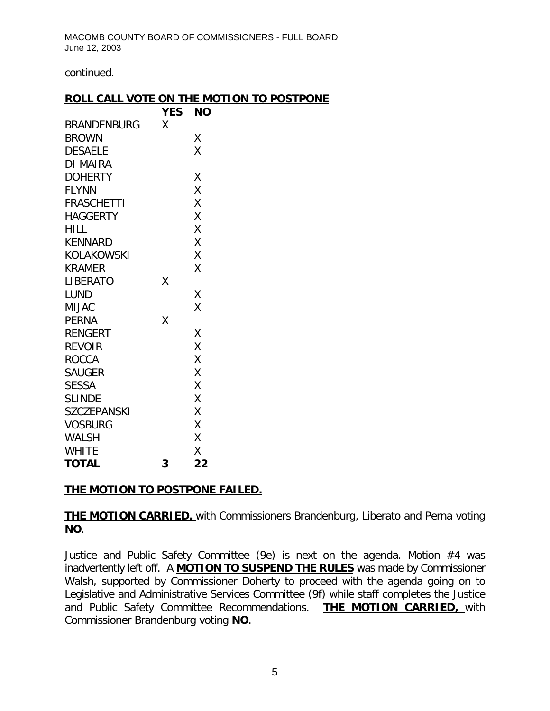continued.

#### **ROLL CALL VOTE ON THE MOTION TO POSTPONE**

|                    | <b>YES</b> | <b>NO</b> |
|--------------------|------------|-----------|
| BRANDENBURG        | X          |           |
| <b>BROWN</b>       |            | Χ         |
| <b>DESAELE</b>     |            | X         |
| DI MAIRA           |            |           |
| <b>DOHERTY</b>     |            | Χ         |
| <b>FLYNN</b>       |            | Χ         |
| <b>FRASCHETTI</b>  |            | Χ         |
| <b>HAGGERTY</b>    |            | X         |
| <b>HILL</b>        |            | X         |
| KENNARD            |            | Χ         |
| KOLAKOWSKI         |            | Χ         |
| <b>KRAMER</b>      |            | Χ         |
| LIBERATO           | Χ          |           |
| <b>LUND</b>        |            | Χ         |
| <b>MIJAC</b>       |            | Χ         |
| <b>PERNA</b>       | X          |           |
| <b>RENGERT</b>     |            | Χ         |
| <b>REVOIR</b>      |            | X         |
| <b>ROCCA</b>       |            | X         |
| <b>SAUGER</b>      |            | X         |
| <b>SESSA</b>       |            | X         |
| <b>SLINDE</b>      |            | X         |
| <b>SZCZEPANSKI</b> |            | X         |
| <b>VOSBURG</b>     |            | X         |
| <b>WALSH</b>       |            | X         |
| <b>WHITE</b>       |            | Χ         |
| <b>TOTAL</b>       | 3          | 22        |

### **THE MOTION TO POSTPONE FAILED.**

**THE MOTION CARRIED,** with Commissioners Brandenburg, Liberato and Perna voting **NO**.

Justice and Public Safety Committee (9e) is next on the agenda. Motion #4 was inadvertently left off. A **MOTION TO SUSPEND THE RULES** was made by Commissioner Walsh, supported by Commissioner Doherty to proceed with the agenda going on to Legislative and Administrative Services Committee (9f) while staff completes the Justice and Public Safety Committee Recommendations. **THE MOTION CARRIED,** with Commissioner Brandenburg voting **NO**.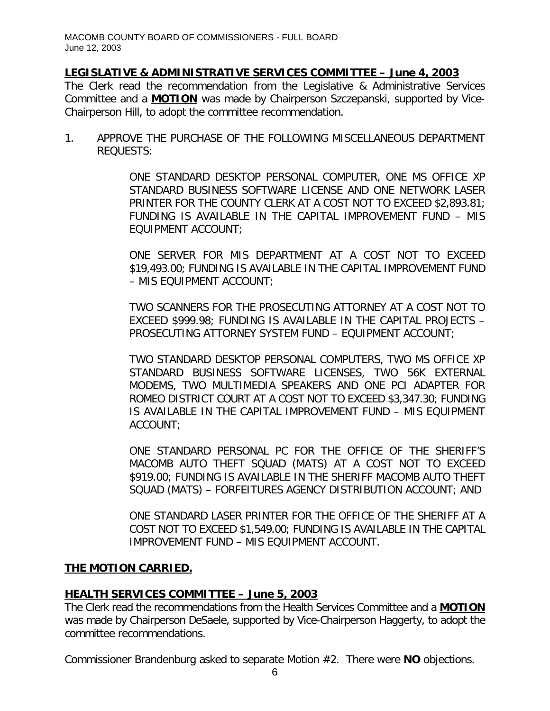# *LEGISLATIVE & ADMINISTRATIVE SERVICES COMMITTEE – June 4, 2003*

The Clerk read the recommendation from the Legislative & Administrative Services Committee and a **MOTION** was made by Chairperson Szczepanski, supported by Vice-Chairperson Hill, to adopt the committee recommendation.

1. APPROVE THE PURCHASE OF THE FOLLOWING MISCELLANEOUS DEPARTMENT REQUESTS:

> ONE STANDARD DESKTOP PERSONAL COMPUTER, ONE MS OFFICE XP STANDARD BUSINESS SOFTWARE LICENSE AND ONE NETWORK LASER PRINTER FOR THE COUNTY CLERK AT A COST NOT TO EXCEED \$2,893.81; FUNDING IS AVAILABLE IN THE CAPITAL IMPROVEMENT FUND – MIS EQUIPMENT ACCOUNT;

> ONE SERVER FOR MIS DEPARTMENT AT A COST NOT TO EXCEED \$19,493.00; FUNDING IS AVAILABLE IN THE CAPITAL IMPROVEMENT FUND – MIS EQUIPMENT ACCOUNT;

> TWO SCANNERS FOR THE PROSECUTING ATTORNEY AT A COST NOT TO EXCEED \$999.98; FUNDING IS AVAILABLE IN THE CAPITAL PROJECTS – PROSECUTING ATTORNEY SYSTEM FUND – EQUIPMENT ACCOUNT;

> TWO STANDARD DESKTOP PERSONAL COMPUTERS, TWO MS OFFICE XP STANDARD BUSINESS SOFTWARE LICENSES, TWO 56K EXTERNAL MODEMS, TWO MULTIMEDIA SPEAKERS AND ONE PCI ADAPTER FOR ROMEO DISTRICT COURT AT A COST NOT TO EXCEED \$3,347.30; FUNDING IS AVAILABLE IN THE CAPITAL IMPROVEMENT FUND – MIS EQUIPMENT ACCOUNT;

> ONE STANDARD PERSONAL PC FOR THE OFFICE OF THE SHERIFF'S MACOMB AUTO THEFT SQUAD (MATS) AT A COST NOT TO EXCEED \$919.00; FUNDING IS AVAILABLE IN THE SHERIFF MACOMB AUTO THEFT SQUAD (MATS) – FORFEITURES AGENCY DISTRIBUTION ACCOUNT; AND

> ONE STANDARD LASER PRINTER FOR THE OFFICE OF THE SHERIFF AT A COST NOT TO EXCEED \$1,549.00; FUNDING IS AVAILABLE IN THE CAPITAL IMPROVEMENT FUND – MIS EQUIPMENT ACCOUNT.

### **THE MOTION CARRIED.**

### *HEALTH SERVICES COMMITTEE – June 5, 2003*

The Clerk read the recommendations from the Health Services Committee and a **MOTION** was made by Chairperson DeSaele, supported by Vice-Chairperson Haggerty, to adopt the committee recommendations.

Commissioner Brandenburg asked to separate Motion #2. There were **NO** objections.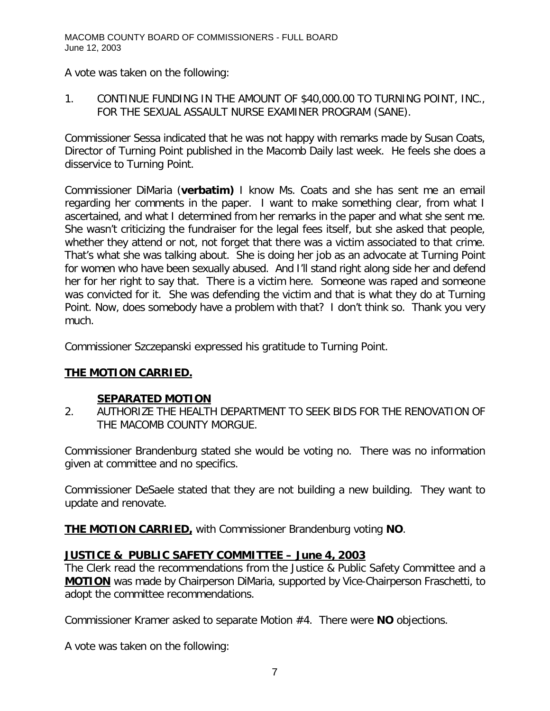A vote was taken on the following:

1. CONTINUE FUNDING IN THE AMOUNT OF \$40,000.00 TO TURNING POINT, INC., FOR THE SEXUAL ASSAULT NURSE EXAMINER PROGRAM (SANE).

Commissioner Sessa indicated that he was not happy with remarks made by Susan Coats, Director of Turning Point published in the Macomb Daily last week. He feels she does a disservice to Turning Point.

Commissioner DiMaria *(verbatim)* I know Ms. Coats and she has sent me an email regarding her comments in the paper. I want to make something clear, from what I ascertained, and what I determined from her remarks in the paper and what she sent me. She wasn't criticizing the fundraiser for the legal fees itself, but she asked that people, whether they attend or not, not forget that there was a victim associated to that crime. That's what she was talking about. She is doing her job as an advocate at Turning Point for women who have been sexually abused. And I'll stand right along side her and defend her for her right to say that. There is a victim here. Someone was raped and someone was convicted for it. She was defending the victim and that is what they do at Turning Point. Now, does somebody have a problem with that? I don't think so. Thank you very much.

Commissioner Szczepanski expressed his gratitude to Turning Point.

# **THE MOTION CARRIED.**

### **SEPARATED MOTION**

2. AUTHORIZE THE HEALTH DEPARTMENT TO SEEK BIDS FOR THE RENOVATION OF THE MACOMB COUNTY MORGUE.

Commissioner Brandenburg stated she would be voting no. There was no information given at committee and no specifics.

Commissioner DeSaele stated that they are not building a new building. They want to update and renovate.

**THE MOTION CARRIED,** with Commissioner Brandenburg voting **NO**.

# *JUSTICE & PUBLIC SAFETY COMMITTEE – June 4, 2003*

The Clerk read the recommendations from the Justice & Public Safety Committee and a **MOTION** was made by Chairperson DiMaria, supported by Vice-Chairperson Fraschetti, to adopt the committee recommendations.

Commissioner Kramer asked to separate Motion #4. There were **NO** objections.

A vote was taken on the following: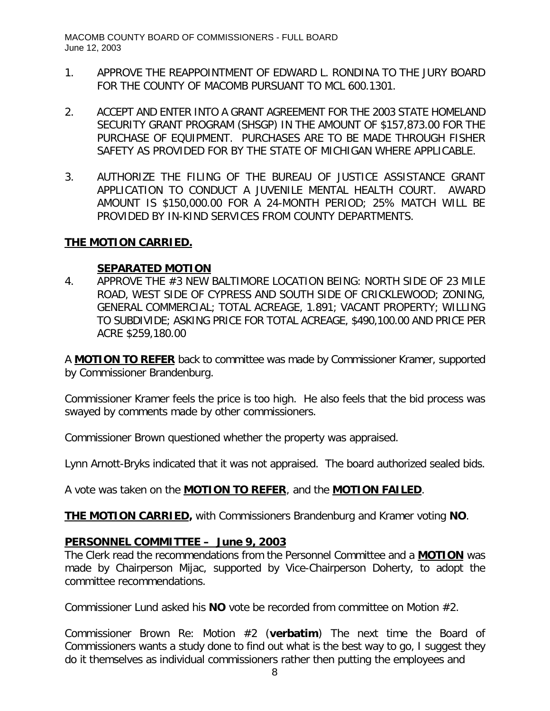- 1. APPROVE THE REAPPOINTMENT OF EDWARD L. RONDINA TO THE JURY BOARD FOR THE COUNTY OF MACOMB PURSUANT TO MCL 600.1301.
- 2. ACCEPT AND ENTER INTO A GRANT AGREEMENT FOR THE 2003 STATE HOMELAND SECURITY GRANT PROGRAM (SHSGP) IN THE AMOUNT OF \$157,873.00 FOR THE PURCHASE OF EQUIPMENT. PURCHASES ARE TO BE MADE THROUGH FISHER SAFETY AS PROVIDED FOR BY THE STATE OF MICHIGAN WHERE APPLICABLE.
- 3. AUTHORIZE THE FILING OF THE BUREAU OF JUSTICE ASSISTANCE GRANT APPLICATION TO CONDUCT A JUVENILE MENTAL HEALTH COURT. AWARD AMOUNT IS \$150,000.00 FOR A 24-MONTH PERIOD; 25% MATCH WILL BE PROVIDED BY IN-KIND SERVICES FROM COUNTY DEPARTMENTS.

#### **THE MOTION CARRIED.**

#### **SEPARATED MOTION**

4. APPROVE THE #3 NEW BALTIMORE LOCATION BEING: NORTH SIDE OF 23 MILE ROAD, WEST SIDE OF CYPRESS AND SOUTH SIDE OF CRICKLEWOOD; ZONING, GENERAL COMMERCIAL; TOTAL ACREAGE, 1.891; VACANT PROPERTY; WILLING TO SUBDIVIDE; ASKING PRICE FOR TOTAL ACREAGE, \$490,100.00 AND PRICE PER ACRE \$259,180.00

A **MOTION TO REFER** back to committee was made by Commissioner Kramer, supported by Commissioner Brandenburg.

Commissioner Kramer feels the price is too high. He also feels that the bid process was swayed by comments made by other commissioners.

Commissioner Brown questioned whether the property was appraised.

Lynn Arnott-Bryks indicated that it was not appraised. The board authorized sealed bids.

A vote was taken on the **MOTION TO REFER**, and the **MOTION FAILED**.

**THE MOTION CARRIED,** with Commissioners Brandenburg and Kramer voting **NO**.

#### *PERSONNEL COMMITTEE – June 9, 2003*

The Clerk read the recommendations from the Personnel Committee and a **MOTION** was made by Chairperson Mijac, supported by Vice-Chairperson Doherty, to adopt the committee recommendations.

Commissioner Lund asked his **NO** vote be recorded from committee on Motion #2.

Commissioner Brown Re: Motion #2 (*verbatim*) The next time the Board of Commissioners wants a study done to find out what is the best way to go, I suggest they do it themselves as individual commissioners rather then putting the employees and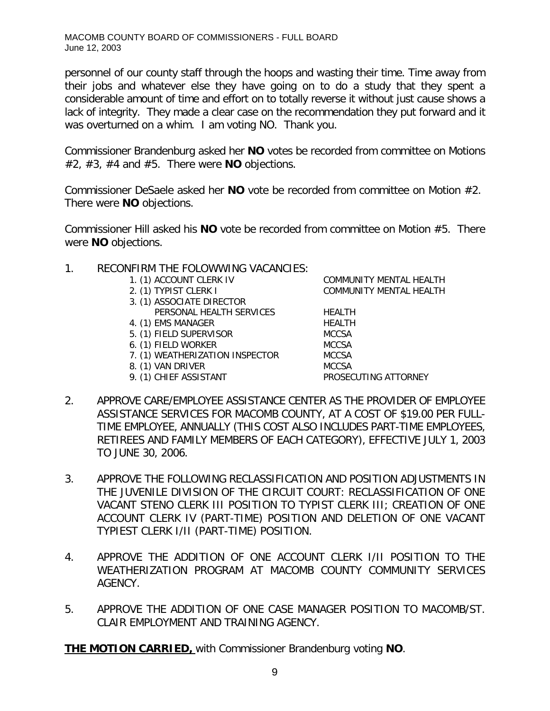personnel of our county staff through the hoops and wasting their time. Time away from their jobs and whatever else they have going on to do a study that they spent a considerable amount of time and effort on to totally reverse it without just cause shows a lack of integrity. They made a clear case on the recommendation they put forward and it was overturned on a whim. I am voting NO. Thank you.

Commissioner Brandenburg asked her **NO** votes be recorded from committee on Motions #2, #3, #4 and #5. There were **NO** objections.

Commissioner DeSaele asked her **NO** vote be recorded from committee on Motion #2. There were **NO** objections.

Commissioner Hill asked his **NO** vote be recorded from committee on Motion #5. There were **NO** objections.

- 1. RECONFIRM THE FOLOWWING VACANCIES:
	-
	-
	- 3. (1) ASSOCIATE DIRECTOR
	- PERSONAL HEALTH SERVICES HEALTH 4. (1) EMS MANAGER HEALTH
	- 5. (1) FIELD SUPERVISOR MCCSA
	- 6. (1) FIELD WORKER MCCSA
	- 7. (1) WEATHERIZATION INSPECTOR MCCSA
	- 8. (1) VAN DRIVER MCCSA
	- 9. (1) CHIEF ASSISTANT PROSECUTING ATTORNEY

1. (1) ACCOUNT CLERK IV COMMUNITY MENTAL HEALTH 2. (1) TYPIST CLERK I COMMUNITY MENTAL HEALTH

- 2. APPROVE CARE/EMPLOYEE ASSISTANCE CENTER AS THE PROVIDER OF EMPLOYEE ASSISTANCE SERVICES FOR MACOMB COUNTY, AT A COST OF \$19.00 PER FULL-TIME EMPLOYEE, ANNUALLY (THIS COST ALSO INCLUDES PART-TIME EMPLOYEES, RETIREES AND FAMILY MEMBERS OF EACH CATEGORY), EFFECTIVE JULY 1, 2003 TO JUNE 30, 2006.
- 3. APPROVE THE FOLLOWING RECLASSIFICATION AND POSITION ADJUSTMENTS IN THE JUVENILE DIVISION OF THE CIRCUIT COURT: RECLASSIFICATION OF ONE VACANT STENO CLERK III POSITION TO TYPIST CLERK III; CREATION OF ONE ACCOUNT CLERK IV (PART-TIME) POSITION AND DELETION OF ONE VACANT TYPIEST CLERK I/II (PART-TIME) POSITION.
- 4. APPROVE THE ADDITION OF ONE ACCOUNT CLERK I/II POSITION TO THE WEATHERIZATION PROGRAM AT MACOMB COUNTY COMMUNITY SERVICES AGENCY.
- 5. APPROVE THE ADDITION OF ONE CASE MANAGER POSITION TO MACOMB/ST. CLAIR EMPLOYMENT AND TRAINING AGENCY.

**THE MOTION CARRIED,** with Commissioner Brandenburg voting **NO**.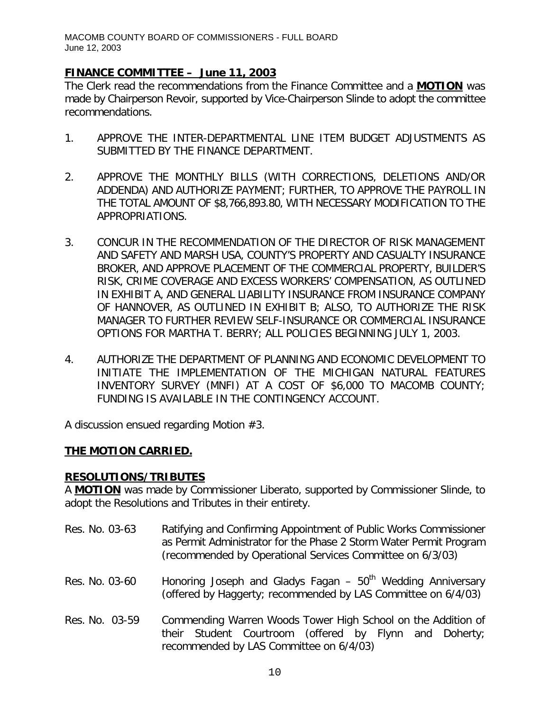### *FINANCE COMMITTEE – June 11, 2003*

The Clerk read the recommendations from the Finance Committee and a **MOTION** was made by Chairperson Revoir, supported by Vice-Chairperson Slinde to adopt the committee recommendations.

- 1. APPROVE THE INTER-DEPARTMENTAL LINE ITEM BUDGET ADJUSTMENTS AS SUBMITTED BY THE FINANCE DEPARTMENT.
- 2. APPROVE THE MONTHLY BILLS (WITH CORRECTIONS, DELETIONS AND/OR ADDENDA) AND AUTHORIZE PAYMENT; FURTHER, TO APPROVE THE PAYROLL IN THE TOTAL AMOUNT OF \$8,766,893.80, WITH NECESSARY MODIFICATION TO THE APPROPRIATIONS.
- 3. CONCUR IN THE RECOMMENDATION OF THE DIRECTOR OF RISK MANAGEMENT AND SAFETY AND MARSH USA, COUNTY'S PROPERTY AND CASUALTY INSURANCE BROKER, AND APPROVE PLACEMENT OF THE COMMERCIAL PROPERTY, BUILDER'S RISK, CRIME COVERAGE AND EXCESS WORKERS' COMPENSATION, AS OUTLINED IN EXHIBIT A, AND GENERAL LIABILITY INSURANCE FROM INSURANCE COMPANY OF HANNOVER, AS OUTLINED IN EXHIBIT B; ALSO, TO AUTHORIZE THE RISK MANAGER TO FURTHER REVIEW SELF-INSURANCE OR COMMERCIAL INSURANCE OPTIONS FOR MARTHA T. BERRY; ALL POLICIES BEGINNING JULY 1, 2003.
- 4. AUTHORIZE THE DEPARTMENT OF PLANNING AND ECONOMIC DEVELOPMENT TO INITIATE THE IMPLEMENTATION OF THE MICHIGAN NATURAL FEATURES INVENTORY SURVEY (MNFI) AT A COST OF \$6,000 TO MACOMB COUNTY; FUNDING IS AVAILABLE IN THE CONTINGENCY ACCOUNT.

A discussion ensued regarding Motion #3.

### **THE MOTION CARRIED.**

### **RESOLUTIONS/TRIBUTES**

A **MOTION** was made by Commissioner Liberato, supported by Commissioner Slinde, to adopt the Resolutions and Tributes in their entirety.

- Res. No. 03-63 Ratifying and Confirming Appointment of Public Works Commissioner as Permit Administrator for the Phase 2 Storm Water Permit Program (recommended by Operational Services Committee on 6/3/03)
- Res. No. 03-60 Honoring Joseph and Gladys Fagan  $-50<sup>th</sup>$  Wedding Anniversary (offered by Haggerty; recommended by LAS Committee on 6/4/03)
- Res. No. 03-59 Commending Warren Woods Tower High School on the Addition of their Student Courtroom (offered by Flynn and Doherty; recommended by LAS Committee on 6/4/03)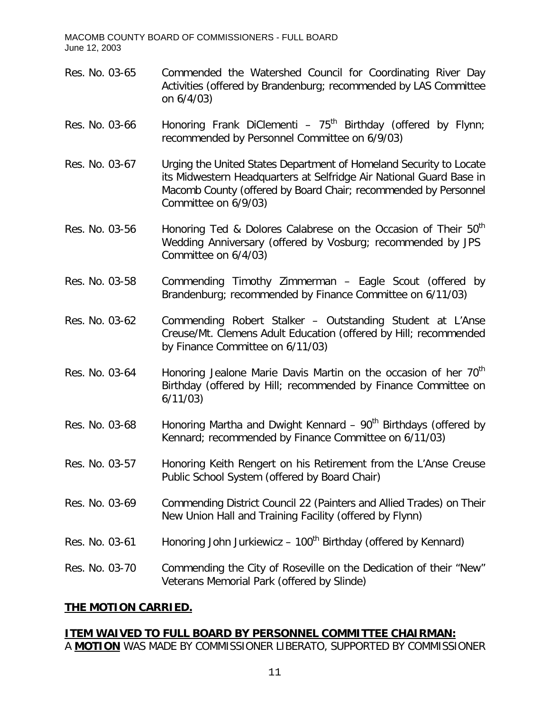- Res. No. 03-65 Commended the Watershed Council for Coordinating River Day Activities (offered by Brandenburg; recommended by LAS Committee on 6/4/03)
- Res. No. 03-66 Honoring Frank DiClementi  $75<sup>th</sup>$  Birthday (offered by Flynn; recommended by Personnel Committee on 6/9/03)
- Res. No. 03-67 Urging the United States Department of Homeland Security to Locate its Midwestern Headquarters at Selfridge Air National Guard Base in Macomb County (offered by Board Chair; recommended by Personnel Committee on 6/9/03)
- Res. No. 03-56 Honoring Ted & Dolores Calabrese on the Occasion of Their 50<sup>th</sup> Wedding Anniversary (offered by Vosburg; recommended by JPS Committee on 6/4/03)
- Res. No. 03-58 Commending Timothy Zimmerman Eagle Scout (offered by Brandenburg; recommended by Finance Committee on 6/11/03)
- Res. No. 03-62 Commending Robert Stalker Outstanding Student at L'Anse Creuse/Mt. Clemens Adult Education (offered by Hill; recommended by Finance Committee on 6/11/03)
- Res. No. 03-64 Honoring Jealone Marie Davis Martin on the occasion of her  $70<sup>th</sup>$ Birthday (offered by Hill; recommended by Finance Committee on 6/11/03)
- Res. No. 03-68 Honoring Martha and Dwight Kennard  $90<sup>th</sup>$  Birthdays (offered by Kennard; recommended by Finance Committee on 6/11/03)
- Res. No. 03-57 Honoring Keith Rengert on his Retirement from the L'Anse Creuse Public School System (offered by Board Chair)
- Res. No. 03-69 Commending District Council 22 (Painters and Allied Trades) on Their New Union Hall and Training Facility (offered by Flynn)
- Res. No. 03-61 Honoring John Jurkiewicz  $100<sup>th</sup>$  Birthday (offered by Kennard)

Res. No. 03-70 Commending the City of Roseville on the Dedication of their "New" Veterans Memorial Park (offered by Slinde)

### **THE MOTION CARRIED.**

# **ITEM WAIVED TO FULL BOARD BY PERSONNEL COMMITTEE CHAIRMAN:**

A **MOTION** WAS MADE BY COMMISSIONER LIBERATO, SUPPORTED BY COMMISSIONER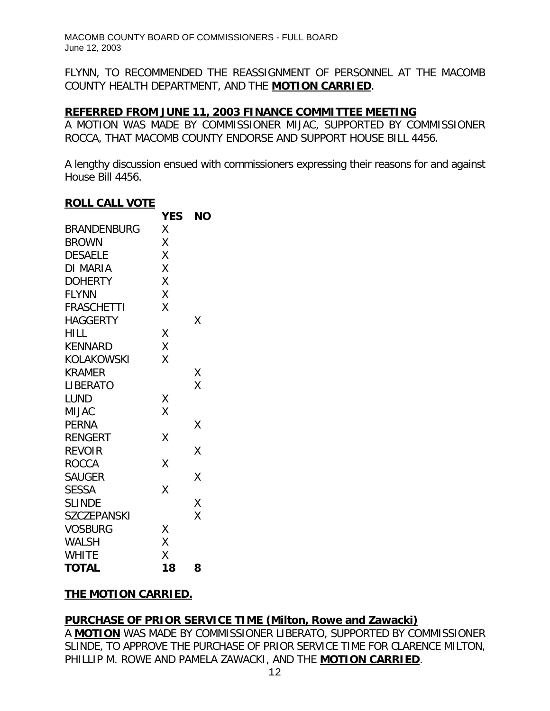FLYNN, TO RECOMMENDED THE REASSIGNMENT OF PERSONNEL AT THE MACOMB COUNTY HEALTH DEPARTMENT, AND THE **MOTION CARRIED**.

#### **REFERRED FROM JUNE 11, 2003 FINANCE COMMITTEE MEETING**

A MOTION WAS MADE BY COMMISSIONER MIJAC, SUPPORTED BY COMMISSIONER ROCCA, THAT MACOMB COUNTY ENDORSE AND SUPPORT HOUSE BILL 4456.

A lengthy discussion ensued with commissioners expressing their reasons for and against House Bill 4456.

#### **ROLL CALL VOTE**

|                    | <b>YES</b> | <b>NO</b> |
|--------------------|------------|-----------|
| <b>BRANDENBURG</b> | Χ          |           |
| <b>BROWN</b>       | Χ          |           |
| <b>DESAELE</b>     | X          |           |
| DI MARIA           | Χ          |           |
| <b>DOHERTY</b>     | Χ          |           |
| <b>FLYNN</b>       | Χ          |           |
| <b>FRASCHETTI</b>  | X          |           |
| <b>HAGGERTY</b>    |            | Χ         |
| <b>HILL</b>        | Χ          |           |
| <b>KENNARD</b>     | Χ          |           |
| KOLAKOWSKI         | Χ          |           |
| <b>KRAMER</b>      |            | Χ         |
| <b>LIBERATO</b>    |            | X         |
| <b>LUND</b>        | Χ          |           |
| <b>MIJAC</b>       | X          |           |
| <b>PERNA</b>       |            | X         |
| <b>RENGERT</b>     | Χ          |           |
| <b>REVOIR</b>      |            | Χ         |
| <b>ROCCA</b>       | X          |           |
| <b>SAUGER</b>      |            | Χ         |
| <b>SESSA</b>       | X          |           |
| <b>SLINDE</b>      |            | X         |
| <b>SZCZEPANSKI</b> |            | Χ         |
| <b>VOSBURG</b>     | Χ          |           |
| WALSH              | X          |           |
| <b>WHITE</b>       | X          |           |
| <b>TOTAL</b>       | 18         | 8         |

### **THE MOTION CARRIED.**

### **PURCHASE OF PRIOR SERVICE TIME (Milton, Rowe and Zawacki)**

A **MOTION** WAS MADE BY COMMISSIONER LIBERATO, SUPPORTED BY COMMISSIONER SLINDE, TO APPROVE THE PURCHASE OF PRIOR SERVICE TIME FOR CLARENCE MILTON, PHILLIP M. ROWE AND PAMELA ZAWACKI, AND THE **MOTION CARRIED**.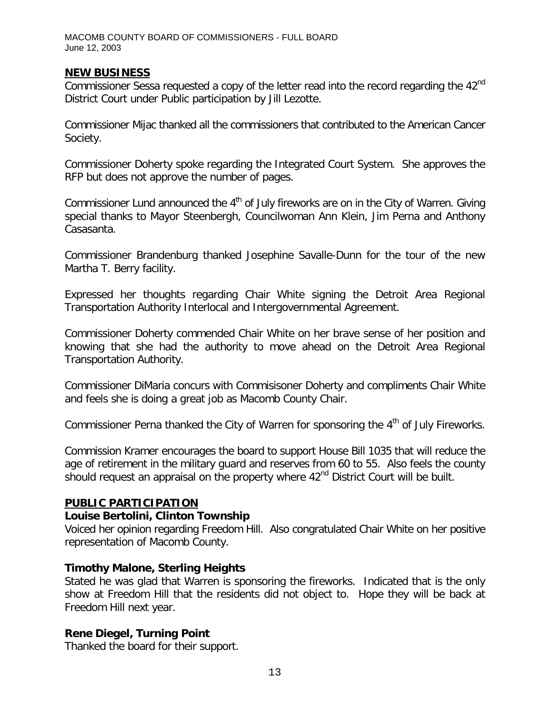#### **NEW BUSINESS**

Commissioner Sessa requested a copy of the letter read into the record regarding the 42<sup>nd</sup> District Court under Public participation by Jill Lezotte.

Commissioner Mijac thanked all the commissioners that contributed to the American Cancer Society.

Commissioner Doherty spoke regarding the Integrated Court System. She approves the RFP but does not approve the number of pages.

Commissioner Lund announced the  $4<sup>th</sup>$  of July fireworks are on in the City of Warren. Giving special thanks to Mayor Steenbergh, Councilwoman Ann Klein, Jim Perna and Anthony Casasanta.

Commissioner Brandenburg thanked Josephine Savalle-Dunn for the tour of the new Martha T. Berry facility.

Expressed her thoughts regarding Chair White signing the Detroit Area Regional Transportation Authority Interlocal and Intergovernmental Agreement.

Commissioner Doherty commended Chair White on her brave sense of her position and knowing that she had the authority to move ahead on the Detroit Area Regional Transportation Authority.

Commissioner DiMaria concurs with Commisisoner Doherty and compliments Chair White and feels she is doing a great job as Macomb County Chair.

Commissioner Perna thanked the City of Warren for sponsoring the 4<sup>th</sup> of July Fireworks.

Commission Kramer encourages the board to support House Bill 1035 that will reduce the age of retirement in the military guard and reserves from 60 to 55. Also feels the county should request an appraisal on the property where 42<sup>nd</sup> District Court will be built.

#### **PUBLIC PARTICIPATION**

#### *Louise Bertolini, Clinton Township*

Voiced her opinion regarding Freedom Hill. Also congratulated Chair White on her positive representation of Macomb County.

#### *Timothy Malone, Sterling Heights*

Stated he was glad that Warren is sponsoring the fireworks. Indicated that is the only show at Freedom Hill that the residents did not object to. Hope they will be back at Freedom Hill next year.

#### *Rene Diegel, Turning Point*

Thanked the board for their support.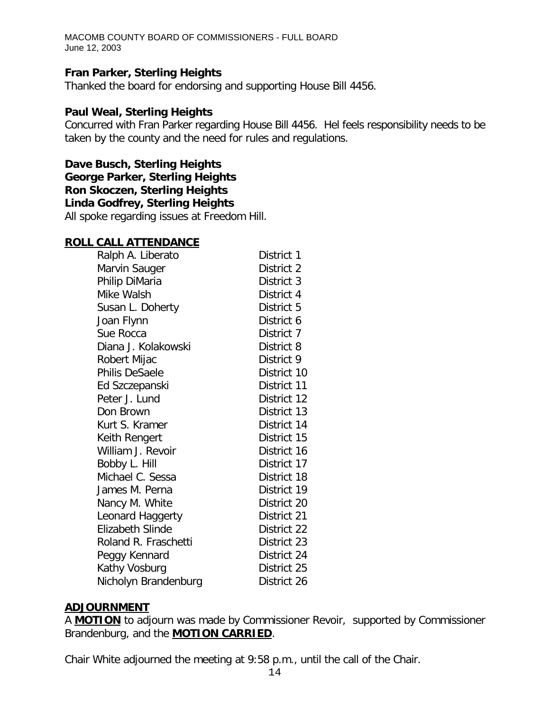#### *Fran Parker, Sterling Heights*

Thanked the board for endorsing and supporting House Bill 4456.

#### *Paul Weal, Sterling Heights*

Concurred with Fran Parker regarding House Bill 4456. Hel feels responsibility needs to be taken by the county and the need for rules and regulations.

*Dave Busch, Sterling Heights George Parker, Sterling Heights Ron Skoczen, Sterling Heights Linda Godfrey, Sterling Heights* All spoke regarding issues at Freedom Hill.

#### **ROLL CALL ATTENDANCE**

| Ralph A. Liberato    | District 1  |
|----------------------|-------------|
| Marvin Sauger        | District 2  |
| Philip DiMaria       | District 3  |
| Mike Walsh           | District 4  |
| Susan L. Doherty     | District 5  |
| Joan Flynn           | District 6  |
| Sue Rocca            | District 7  |
| Diana J. Kolakowski  | District 8  |
| Robert Mijac         | District 9  |
| Philis DeSaele       | District 10 |
| Ed Szczepanski       | District 11 |
| Peter J. Lund        | District 12 |
| Don Brown            | District 13 |
| Kurt S. Kramer       | District 14 |
| Keith Rengert        | District 15 |
| William J. Revoir    | District 16 |
| Bobby L. Hill        | District 17 |
| Michael C. Sessa     | District 18 |
| James M. Perna       | District 19 |
| Nancy M. White       | District 20 |
| Leonard Haggerty     | District 21 |
| Elizabeth Slinde     | District 22 |
| Roland R. Fraschetti | District 23 |
| Peggy Kennard        | District 24 |
| Kathy Vosburg        | District 25 |
| Nicholyn Brandenburg | District 26 |

#### **ADJOURNMENT**

A **MOTION** to adjourn was made by Commissioner Revoir, supported by Commissioner Brandenburg, and the **MOTION CARRIED**.

Chair White adjourned the meeting at 9:58 p.m., until the call of the Chair.